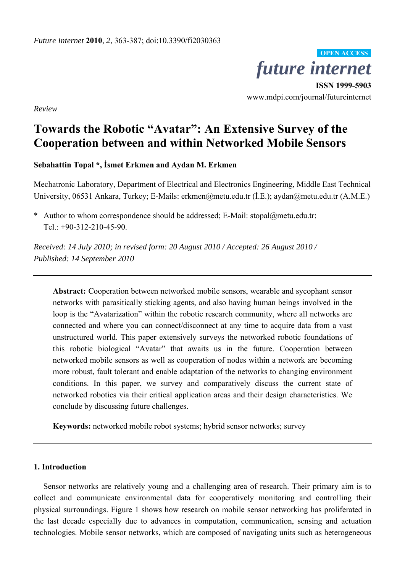

**ISSN 1999-5903**  www.mdpi.com/journal/futureinternet

*Review* 

# **Towards the Robotic "Avatar": An Extensive Survey of the Cooperation between and within Networked Mobile Sensors**

**Sebahattin Topal \*, İsmet Erkmen and Aydan M. Erkmen** 

Mechatronic Laboratory, Department of Electrical and Electronics Engineering, Middle East Technical University, 06531 Ankara, Turkey; E-Mails: erkmen@metu.edu.tr (İ.E.); aydan@metu.edu.tr (A.M.E.)

\* Author to whom correspondence should be addressed; E-Mail: stopal@metu.edu.tr; Tel.:  $+90-312-210-45-90$ .

*Received: 14 July 2010; in revised form: 20 August 2010 / Accepted: 26 August 2010 / Published: 14 September 2010* 

**Abstract:** Cooperation between networked mobile sensors, wearable and sycophant sensor networks with parasitically sticking agents, and also having human beings involved in the loop is the "Avatarization" within the robotic research community, where all networks are connected and where you can connect/disconnect at any time to acquire data from a vast unstructured world. This paper extensively surveys the networked robotic foundations of this robotic biological "Avatar" that awaits us in the future. Cooperation between networked mobile sensors as well as cooperation of nodes within a network are becoming more robust, fault tolerant and enable adaptation of the networks to changing environment conditions. In this paper, we survey and comparatively discuss the current state of networked robotics via their critical application areas and their design characteristics. We conclude by discussing future challenges.

**Keywords:** networked mobile robot systems; hybrid sensor networks; survey

## **1. Introduction**

Sensor networks are relatively young and a challenging area of research. Their primary aim is to collect and communicate environmental data for cooperatively monitoring and controlling their physical surroundings. Figure 1 shows how research on mobile sensor networking has proliferated in the last decade especially due to advances in computation, communication, sensing and actuation technologies. Mobile sensor networks, which are composed of navigating units such as heterogeneous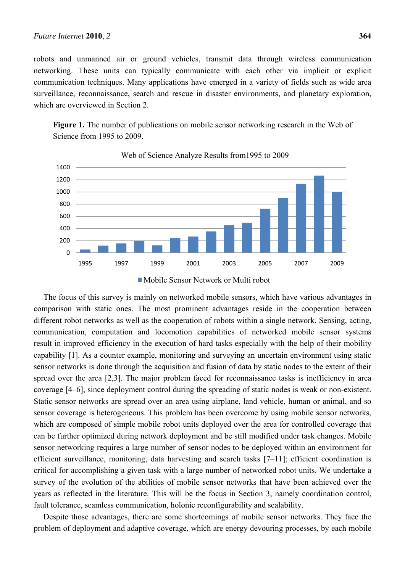robots and unmanned air or ground vehicles, transmit data through wireless communication networking. These units can typically communicate with each other via implicit or explicit communication techniques. Many applications have emerged in a variety of fields such as wide area surveillance, reconnaissance, search and rescue in disaster environments, and planetary exploration, which are overviewed in Section 2.

**Figure 1.** The number of publications on mobile sensor networking research in the Web of Science from 1995 to 2009.



Web of Science Analyze Results from1995 to 2009



The focus of this survey is mainly on networked mobile sensors, which have various advantages in comparison with static ones. The most prominent advantages reside in the cooperation between different robot networks as well as the cooperation of robots within a single network. Sensing, acting, communication, computation and locomotion capabilities of networked mobile sensor systems result in improved efficiency in the execution of hard tasks especially with the help of their mobility capability [1]. As a counter example, monitoring and surveying an uncertain environment using static sensor networks is done through the acquisition and fusion of data by static nodes to the extent of their spread over the area [2,3]. The major problem faced for reconnaissance tasks is inefficiency in area coverage [4–6], since deployment control during the spreading of static nodes is weak or non-existent. Static sensor networks are spread over an area using airplane, land vehicle, human or animal, and so sensor coverage is heterogeneous. This problem has been overcome by using mobile sensor networks, which are composed of simple mobile robot units deployed over the area for controlled coverage that can be further optimized during network deployment and be still modified under task changes. Mobile sensor networking requires a large number of sensor nodes to be deployed within an environment for efficient surveillance, monitoring, data harvesting and search tasks [7–11]; efficient coordination is critical for accomplishing a given task with a large number of networked robot units. We undertake a survey of the evolution of the abilities of mobile sensor networks that have been achieved over the years as reflected in the literature. This will be the focus in Section 3, namely coordination control, fault tolerance, seamless communication, holonic reconfigurability and scalability.

Despite those advantages, there are some shortcomings of mobile sensor networks. They face the problem of deployment and adaptive coverage, which are energy devouring processes, by each mobile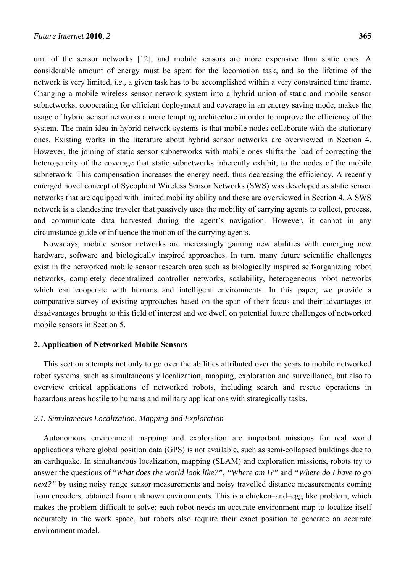unit of the sensor networks [12], and mobile sensors are more expensive than static ones. A considerable amount of energy must be spent for the locomotion task, and so the lifetime of the network is very limited, *i.e.,* a given task has to be accomplished within a very constrained time frame. Changing a mobile wireless sensor network system into a hybrid union of static and mobile sensor subnetworks, cooperating for efficient deployment and coverage in an energy saving mode, makes the usage of hybrid sensor networks a more tempting architecture in order to improve the efficiency of the system. The main idea in hybrid network systems is that mobile nodes collaborate with the stationary ones. Existing works in the literature about hybrid sensor networks are overviewed in Section 4. However, the joining of static sensor subnetworks with mobile ones shifts the load of correcting the heterogeneity of the coverage that static subnetworks inherently exhibit, to the nodes of the mobile subnetwork. This compensation increases the energy need, thus decreasing the efficiency. A recently emerged novel concept of Sycophant Wireless Sensor Networks (SWS) was developed as static sensor networks that are equipped with limited mobility ability and these are overviewed in Section 4. A SWS network is a clandestine traveler that passively uses the mobility of carrying agents to collect, process, and communicate data harvested during the agent's navigation. However, it cannot in any circumstance guide or influence the motion of the carrying agents.

Nowadays, mobile sensor networks are increasingly gaining new abilities with emerging new hardware, software and biologically inspired approaches. In turn, many future scientific challenges exist in the networked mobile sensor research area such as biologically inspired self-organizing robot networks, completely decentralized controller networks, scalability, heterogeneous robot networks which can cooperate with humans and intelligent environments. In this paper, we provide a comparative survey of existing approaches based on the span of their focus and their advantages or disadvantages brought to this field of interest and we dwell on potential future challenges of networked mobile sensors in Section 5.

## **2. Application of Networked Mobile Sensors**

This section attempts not only to go over the abilities attributed over the years to mobile networked robot systems, such as simultaneously localization, mapping, exploration and surveillance, but also to overview critical applications of networked robots, including search and rescue operations in hazardous areas hostile to humans and military applications with strategically tasks.

## *2.1. Simultaneous Localization, Mapping and Exploration*

Autonomous environment mapping and exploration are important missions for real world applications where global position data (GPS) is not available, such as semi-collapsed buildings due to an earthquake. In simultaneous localization, mapping (SLAM) and exploration missions, robots try to answer the questions of "*What does the world look like?"*, *"Where am I?"* and *"Where do I have to go next?"* by using noisy range sensor measurements and noisy travelled distance measurements coming from encoders, obtained from unknown environments. This is a chicken–and–egg like problem, which makes the problem difficult to solve; each robot needs an accurate environment map to localize itself accurately in the work space, but robots also require their exact position to generate an accurate environment model.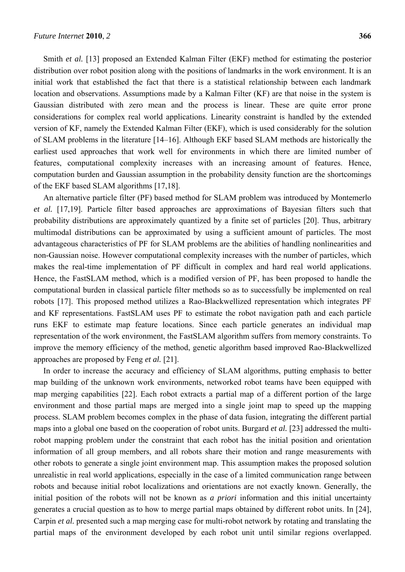Smith *et al.* [13] proposed an Extended Kalman Filter (EKF) method for estimating the posterior distribution over robot position along with the positions of landmarks in the work environment. It is an initial work that established the fact that there is a statistical relationship between each landmark location and observations. Assumptions made by a Kalman Filter (KF) are that noise in the system is Gaussian distributed with zero mean and the process is linear. These are quite error prone considerations for complex real world applications. Linearity constraint is handled by the extended version of KF, namely the Extended Kalman Filter (EKF), which is used considerably for the solution of SLAM problems in the literature [14–16]. Although EKF based SLAM methods are historically the earliest used approaches that work well for environments in which there are limited number of features, computational complexity increases with an increasing amount of features. Hence, computation burden and Gaussian assumption in the probability density function are the shortcomings of the EKF based SLAM algorithms [17,18].

An alternative particle filter (PF) based method for SLAM problem was introduced by Montemerlo *et al.* [17,19]. Particle filter based approaches are approximations of Bayesian filters such that probability distributions are approximately quantized by a finite set of particles [20]. Thus, arbitrary multimodal distributions can be approximated by using a sufficient amount of particles. The most advantageous characteristics of PF for SLAM problems are the abilities of handling nonlinearities and non-Gaussian noise. However computational complexity increases with the number of particles, which makes the real-time implementation of PF difficult in complex and hard real world applications. Hence, the FastSLAM method, which is a modified version of PF, has been proposed to handle the computational burden in classical particle filter methods so as to successfully be implemented on real robots [17]. This proposed method utilizes a Rao-Blackwellized representation which integrates PF and KF representations. FastSLAM uses PF to estimate the robot navigation path and each particle runs EKF to estimate map feature locations. Since each particle generates an individual map representation of the work environment, the FastSLAM algorithm suffers from memory constraints. To improve the memory efficiency of the method, genetic algorithm based improved Rao-Blackwellized approaches are proposed by Feng *et al.* [21].

In order to increase the accuracy and efficiency of SLAM algorithms, putting emphasis to better map building of the unknown work environments, networked robot teams have been equipped with map merging capabilities [22]. Each robot extracts a partial map of a different portion of the large environment and those partial maps are merged into a single joint map to speed up the mapping process. SLAM problem becomes complex in the phase of data fusion, integrating the different partial maps into a global one based on the cooperation of robot units. Burgard *et al.* [23] addressed the multirobot mapping problem under the constraint that each robot has the initial position and orientation information of all group members, and all robots share their motion and range measurements with other robots to generate a single joint environment map. This assumption makes the proposed solution unrealistic in real world applications, especially in the case of a limited communication range between robots and because initial robot localizations and orientations are not exactly known. Generally, the initial position of the robots will not be known as *a priori* information and this initial uncertainty generates a crucial question as to how to merge partial maps obtained by different robot units. In [24], Carpin *et al.* presented such a map merging case for multi-robot network by rotating and translating the partial maps of the environment developed by each robot unit until similar regions overlapped.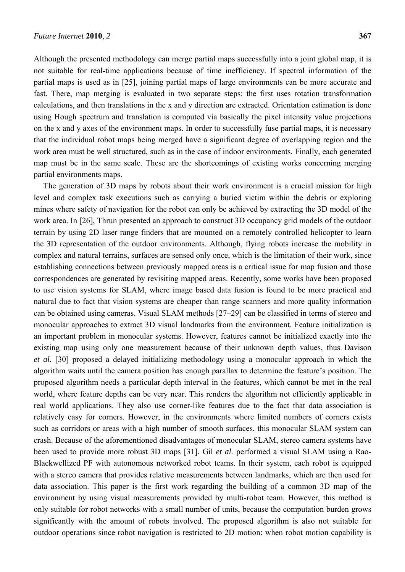Although the presented methodology can merge partial maps successfully into a joint global map, it is not suitable for real-time applications because of time inefficiency. If spectral information of the partial maps is used as in [25], joining partial maps of large environments can be more accurate and fast. There, map merging is evaluated in two separate steps: the first uses rotation transformation calculations, and then translations in the x and y direction are extracted. Orientation estimation is done using Hough spectrum and translation is computed via basically the pixel intensity value projections on the x and y axes of the environment maps. In order to successfully fuse partial maps, it is necessary that the individual robot maps being merged have a significant degree of overlapping region and the work area must be well structured, such as in the case of indoor environments. Finally, each generated map must be in the same scale. These are the shortcomings of existing works concerning merging partial environments maps.

The generation of 3D maps by robots about their work environment is a crucial mission for high level and complex task executions such as carrying a buried victim within the debris or exploring mines where safety of navigation for the robot can only be achieved by extracting the 3D model of the work area. In [26], Thrun presented an approach to construct 3D occupancy grid models of the outdoor terrain by using 2D laser range finders that are mounted on a remotely controlled helicopter to learn the 3D representation of the outdoor environments. Although, flying robots increase the mobility in complex and natural terrains, surfaces are sensed only once, which is the limitation of their work, since establishing connections between previously mapped areas is a critical issue for map fusion and those correspondences are generated by revisiting mapped areas. Recently, some works have been proposed to use vision systems for SLAM, where image based data fusion is found to be more practical and natural due to fact that vision systems are cheaper than range scanners and more quality information can be obtained using cameras. Visual SLAM methods [27–29] can be classified in terms of stereo and monocular approaches to extract 3D visual landmarks from the environment. Feature initialization is an important problem in monocular systems. However, features cannot be initialized exactly into the existing map using only one measurement because of their unknown depth values, thus Davison *et al.* [30] proposed a delayed initializing methodology using a monocular approach in which the algorithm waits until the camera position has enough parallax to determine the feature's position. The proposed algorithm needs a particular depth interval in the features, which cannot be met in the real world, where feature depths can be very near. This renders the algorithm not efficiently applicable in real world applications. They also use corner-like features due to the fact that data association is relatively easy for corners. However, in the environments where limited numbers of corners exists such as corridors or areas with a high number of smooth surfaces, this monocular SLAM system can crash. Because of the aforementioned disadvantages of monocular SLAM, stereo camera systems have been used to provide more robust 3D maps [31]. Gil *et al.* performed a visual SLAM using a Rao-Blackwellized PF with autonomous networked robot teams. In their system, each robot is equipped with a stereo camera that provides relative measurements between landmarks, which are then used for data association. This paper is the first work regarding the building of a common 3D map of the environment by using visual measurements provided by multi-robot team. However, this method is only suitable for robot networks with a small number of units, because the computation burden grows significantly with the amount of robots involved. The proposed algorithm is also not suitable for outdoor operations since robot navigation is restricted to 2D motion: when robot motion capability is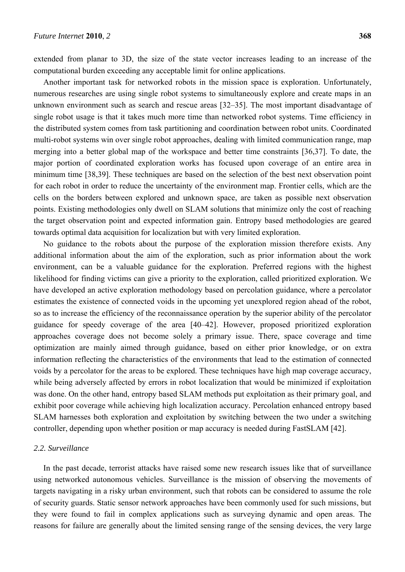extended from planar to 3D, the size of the state vector increases leading to an increase of the computational burden exceeding any acceptable limit for online applications.

Another important task for networked robots in the mission space is exploration. Unfortunately, numerous researches are using single robot systems to simultaneously explore and create maps in an unknown environment such as search and rescue areas [32–35]. The most important disadvantage of single robot usage is that it takes much more time than networked robot systems. Time efficiency in the distributed system comes from task partitioning and coordination between robot units. Coordinated multi-robot systems win over single robot approaches, dealing with limited communication range, map merging into a better global map of the workspace and better time constraints [36,37]. To date, the major portion of coordinated exploration works has focused upon coverage of an entire area in minimum time [38,39]. These techniques are based on the selection of the best next observation point for each robot in order to reduce the uncertainty of the environment map. Frontier cells, which are the cells on the borders between explored and unknown space, are taken as possible next observation points. Existing methodologies only dwell on SLAM solutions that minimize only the cost of reaching the target observation point and expected information gain. Entropy based methodologies are geared towards optimal data acquisition for localization but with very limited exploration.

No guidance to the robots about the purpose of the exploration mission therefore exists. Any additional information about the aim of the exploration, such as prior information about the work environment, can be a valuable guidance for the exploration. Preferred regions with the highest likelihood for finding victims can give a priority to the exploration, called prioritized exploration. We have developed an active exploration methodology based on percolation guidance, where a percolator estimates the existence of connected voids in the upcoming yet unexplored region ahead of the robot, so as to increase the efficiency of the reconnaissance operation by the superior ability of the percolator guidance for speedy coverage of the area [40–42]. However, proposed prioritized exploration approaches coverage does not become solely a primary issue. There, space coverage and time optimization are mainly aimed through guidance, based on either prior knowledge, or on extra information reflecting the characteristics of the environments that lead to the estimation of connected voids by a percolator for the areas to be explored. These techniques have high map coverage accuracy, while being adversely affected by errors in robot localization that would be minimized if exploitation was done. On the other hand, entropy based SLAM methods put exploitation as their primary goal, and exhibit poor coverage while achieving high localization accuracy. Percolation enhanced entropy based SLAM harnesses both exploration and exploitation by switching between the two under a switching controller, depending upon whether position or map accuracy is needed during FastSLAM [42].

#### *2.2. Surveillance*

In the past decade, terrorist attacks have raised some new research issues like that of surveillance using networked autonomous vehicles. Surveillance is the mission of observing the movements of targets navigating in a risky urban environment, such that robots can be considered to assume the role of security guards. Static sensor network approaches have been commonly used for such missions, but they were found to fail in complex applications such as surveying dynamic and open areas. The reasons for failure are generally about the limited sensing range of the sensing devices, the very large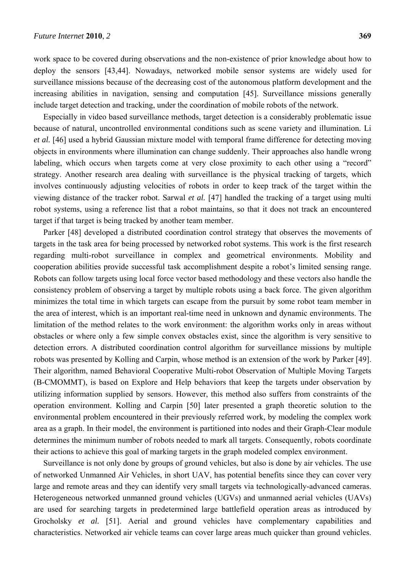work space to be covered during observations and the non-existence of prior knowledge about how to deploy the sensors [43,44]. Nowadays, networked mobile sensor systems are widely used for surveillance missions because of the decreasing cost of the autonomous platform development and the increasing abilities in navigation, sensing and computation [45]. Surveillance missions generally include target detection and tracking, under the coordination of mobile robots of the network.

Especially in video based surveillance methods, target detection is a considerably problematic issue because of natural, uncontrolled environmental conditions such as scene variety and illumination. Li *et al.* [46] used a hybrid Gaussian mixture model with temporal frame difference for detecting moving objects in environments where illumination can change suddenly. Their approaches also handle wrong labeling, which occurs when targets come at very close proximity to each other using a "record" strategy. Another research area dealing with surveillance is the physical tracking of targets, which involves continuously adjusting velocities of robots in order to keep track of the target within the viewing distance of the tracker robot. Sarwal *et al.* [47] handled the tracking of a target using multi robot systems, using a reference list that a robot maintains, so that it does not track an encountered target if that target is being tracked by another team member.

Parker [48] developed a distributed coordination control strategy that observes the movements of targets in the task area for being processed by networked robot systems. This work is the first research regarding multi-robot surveillance in complex and geometrical environments. Mobility and cooperation abilities provide successful task accomplishment despite a robot's limited sensing range. Robots can follow targets using local force vector based methodology and these vectors also handle the consistency problem of observing a target by multiple robots using a back force. The given algorithm minimizes the total time in which targets can escape from the pursuit by some robot team member in the area of interest, which is an important real-time need in unknown and dynamic environments. The limitation of the method relates to the work environment: the algorithm works only in areas without obstacles or where only a few simple convex obstacles exist, since the algorithm is very sensitive to detection errors. A distributed coordination control algorithm for surveillance missions by multiple robots was presented by Kolling and Carpin, whose method is an extension of the work by Parker [49]. Their algorithm, named Behavioral Cooperative Multi-robot Observation of Multiple Moving Targets (B-CMOMMT), is based on Explore and Help behaviors that keep the targets under observation by utilizing information supplied by sensors. However, this method also suffers from constraints of the operation environment. Kolling and Carpin [50] later presented a graph theoretic solution to the environmental problem encountered in their previously referred work, by modeling the complex work area as a graph. In their model, the environment is partitioned into nodes and their Graph-Clear module determines the minimum number of robots needed to mark all targets. Consequently, robots coordinate their actions to achieve this goal of marking targets in the graph modeled complex environment.

Surveillance is not only done by groups of ground vehicles, but also is done by air vehicles. The use of networked Unmanned Air Vehicles, in short UAV, has potential benefits since they can cover very large and remote areas and they can identify very small targets via technologically-advanced cameras. Heterogeneous networked unmanned ground vehicles (UGVs) and unmanned aerial vehicles (UAVs) are used for searching targets in predetermined large battlefield operation areas as introduced by Grocholsky *et al.* [51]. Aerial and ground vehicles have complementary capabilities and characteristics. Networked air vehicle teams can cover large areas much quicker than ground vehicles.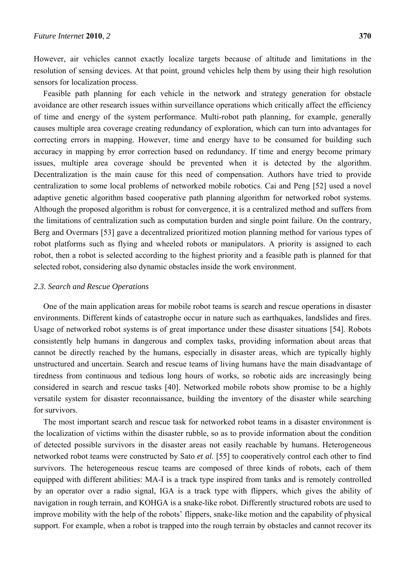However, air vehicles cannot exactly localize targets because of altitude and limitations in the resolution of sensing devices. At that point, ground vehicles help them by using their high resolution sensors for localization process.

Feasible path planning for each vehicle in the network and strategy generation for obstacle avoidance are other research issues within surveillance operations which critically affect the efficiency of time and energy of the system performance. Multi-robot path planning, for example, generally causes multiple area coverage creating redundancy of exploration, which can turn into advantages for correcting errors in mapping. However, time and energy have to be consumed for building such accuracy in mapping by error correction based on redundancy. If time and energy become primary issues, multiple area coverage should be prevented when it is detected by the algorithm. Decentralization is the main cause for this need of compensation. Authors have tried to provide centralization to some local problems of networked mobile robotics. Cai and Peng [52] used a novel adaptive genetic algorithm based cooperative path planning algorithm for networked robot systems. Although the proposed algorithm is robust for convergence, it is a centralized method and suffers from the limitations of centralization such as computation burden and single point failure. On the contrary, Berg and Overmars [53] gave a decentralized prioritized motion planning method for various types of robot platforms such as flying and wheeled robots or manipulators. A priority is assigned to each robot, then a robot is selected according to the highest priority and a feasible path is planned for that selected robot, considering also dynamic obstacles inside the work environment.

## *2.3. Search and Rescue Operations*

One of the main application areas for mobile robot teams is search and rescue operations in disaster environments. Different kinds of catastrophe occur in nature such as earthquakes, landslides and fires. Usage of networked robot systems is of great importance under these disaster situations [54]. Robots consistently help humans in dangerous and complex tasks, providing information about areas that cannot be directly reached by the humans, especially in disaster areas, which are typically highly unstructured and uncertain. Search and rescue teams of living humans have the main disadvantage of tiredness from continuous and tedious long hours of works, so robotic aids are increasingly being considered in search and rescue tasks [40]. Networked mobile robots show promise to be a highly versatile system for disaster reconnaissance, building the inventory of the disaster while searching for survivors.

The most important search and rescue task for networked robot teams in a disaster environment is the localization of victims within the disaster rubble, so as to provide information about the condition of detected possible survivors in the disaster areas not easily reachable by humans. Heterogeneous networked robot teams were constructed by Sato *et al.* [55] to cooperatively control each other to find survivors. The heterogeneous rescue teams are composed of three kinds of robots, each of them equipped with different abilities: MA-I is a track type inspired from tanks and is remotely controlled by an operator over a radio signal, IGA is a track type with flippers, which gives the ability of navigation in rough terrain, and KOHGA is a snake-like robot. Differently structured robots are used to improve mobility with the help of the robots' flippers, snake-like motion and the capability of physical support. For example, when a robot is trapped into the rough terrain by obstacles and cannot recover its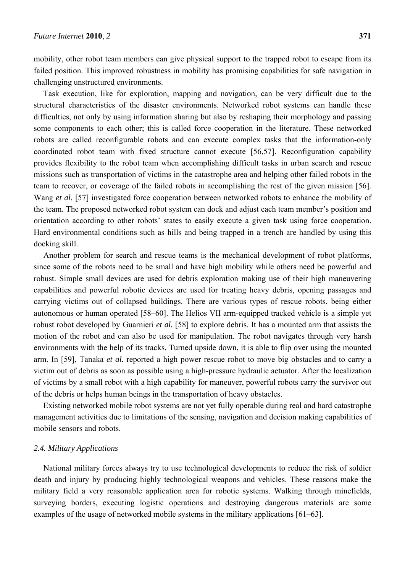mobility, other robot team members can give physical support to the trapped robot to escape from its failed position. This improved robustness in mobility has promising capabilities for safe navigation in challenging unstructured environments.

Task execution, like for exploration, mapping and navigation, can be very difficult due to the structural characteristics of the disaster environments. Networked robot systems can handle these difficulties, not only by using information sharing but also by reshaping their morphology and passing some components to each other; this is called force cooperation in the literature. These networked robots are called reconfigurable robots and can execute complex tasks that the information-only coordinated robot team with fixed structure cannot execute [56,57]. Reconfiguration capability provides flexibility to the robot team when accomplishing difficult tasks in urban search and rescue missions such as transportation of victims in the catastrophe area and helping other failed robots in the team to recover, or coverage of the failed robots in accomplishing the rest of the given mission [56]. Wang *et al.* [57] investigated force cooperation between networked robots to enhance the mobility of the team. The proposed networked robot system can dock and adjust each team member's position and orientation according to other robots' states to easily execute a given task using force cooperation. Hard environmental conditions such as hills and being trapped in a trench are handled by using this docking skill.

Another problem for search and rescue teams is the mechanical development of robot platforms, since some of the robots need to be small and have high mobility while others need be powerful and robust. Simple small devices are used for debris exploration making use of their high maneuvering capabilities and powerful robotic devices are used for treating heavy debris, opening passages and carrying victims out of collapsed buildings. There are various types of rescue robots, being either autonomous or human operated [58–60]. The Helios VII arm-equipped tracked vehicle is a simple yet robust robot developed by Guarnieri *et al.* [58] to explore debris. It has a mounted arm that assists the motion of the robot and can also be used for manipulation. The robot navigates through very harsh environments with the help of its tracks. Turned upside down, it is able to flip over using the mounted arm. In [59], Tanaka *et al.* reported a high power rescue robot to move big obstacles and to carry a victim out of debris as soon as possible using a high-pressure hydraulic actuator. After the localization of victims by a small robot with a high capability for maneuver, powerful robots carry the survivor out of the debris or helps human beings in the transportation of heavy obstacles.

Existing networked mobile robot systems are not yet fully operable during real and hard catastrophe management activities due to limitations of the sensing, navigation and decision making capabilities of mobile sensors and robots.

#### *2.4. Military Applications*

National military forces always try to use technological developments to reduce the risk of soldier death and injury by producing highly technological weapons and vehicles. These reasons make the military field a very reasonable application area for robotic systems. Walking through minefields, surveying borders, executing logistic operations and destroying dangerous materials are some examples of the usage of networked mobile systems in the military applications [61–63].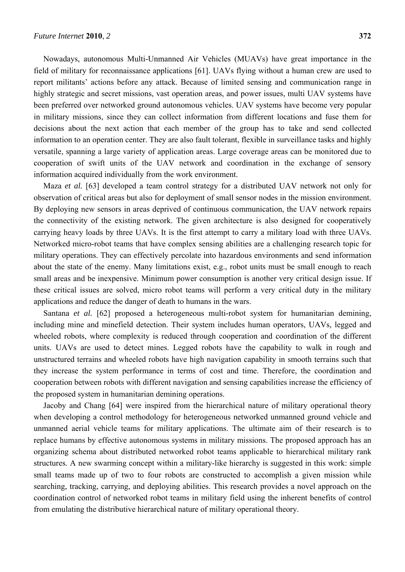Nowadays, autonomous Multi-Unmanned Air Vehicles (MUAVs) have great importance in the field of military for reconnaissance applications [61]. UAVs flying without a human crew are used to report militants' actions before any attack. Because of limited sensing and communication range in highly strategic and secret missions, vast operation areas, and power issues, multi UAV systems have been preferred over networked ground autonomous vehicles. UAV systems have become very popular in military missions, since they can collect information from different locations and fuse them for decisions about the next action that each member of the group has to take and send collected information to an operation center. They are also fault tolerant, flexible in surveillance tasks and highly versatile, spanning a large variety of application areas. Large coverage areas can be monitored due to cooperation of swift units of the UAV network and coordination in the exchange of sensory information acquired individually from the work environment.

Maza *et al.* [63] developed a team control strategy for a distributed UAV network not only for observation of critical areas but also for deployment of small sensor nodes in the mission environment. By deploying new sensors in areas deprived of continuous communication, the UAV network repairs the connectivity of the existing network. The given architecture is also designed for cooperatively carrying heavy loads by three UAVs. It is the first attempt to carry a military load with three UAVs. Networked micro-robot teams that have complex sensing abilities are a challenging research topic for military operations. They can effectively percolate into hazardous environments and send information about the state of the enemy. Many limitations exist, e.g., robot units must be small enough to reach small areas and be inexpensive. Minimum power consumption is another very critical design issue. If these critical issues are solved, micro robot teams will perform a very critical duty in the military applications and reduce the danger of death to humans in the wars.

Santana *et al.* [62] proposed a heterogeneous multi-robot system for humanitarian demining, including mine and minefield detection. Their system includes human operators, UAVs, legged and wheeled robots, where complexity is reduced through cooperation and coordination of the different units. UAVs are used to detect mines. Legged robots have the capability to walk in rough and unstructured terrains and wheeled robots have high navigation capability in smooth terrains such that they increase the system performance in terms of cost and time. Therefore, the coordination and cooperation between robots with different navigation and sensing capabilities increase the efficiency of the proposed system in humanitarian demining operations.

Jacoby and Chang [64] were inspired from the hierarchical nature of military operational theory when developing a control methodology for heterogeneous networked unmanned ground vehicle and unmanned aerial vehicle teams for military applications. The ultimate aim of their research is to replace humans by effective autonomous systems in military missions. The proposed approach has an organizing schema about distributed networked robot teams applicable to hierarchical military rank structures. A new swarming concept within a military-like hierarchy is suggested in this work: simple small teams made up of two to four robots are constructed to accomplish a given mission while searching, tracking, carrying, and deploying abilities. This research provides a novel approach on the coordination control of networked robot teams in military field using the inherent benefits of control from emulating the distributive hierarchical nature of military operational theory.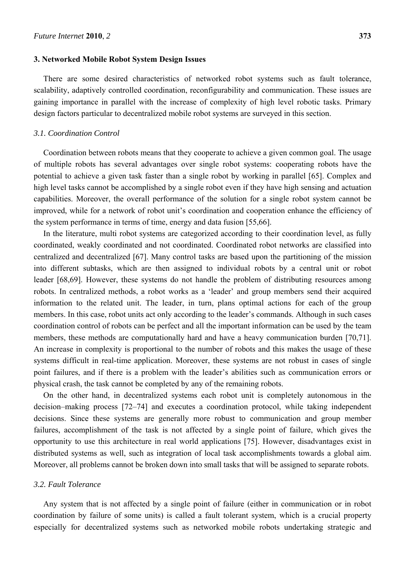#### **3. Networked Mobile Robot System Design Issues**

There are some desired characteristics of networked robot systems such as fault tolerance, scalability, adaptively controlled coordination, reconfigurability and communication. These issues are gaining importance in parallel with the increase of complexity of high level robotic tasks. Primary design factors particular to decentralized mobile robot systems are surveyed in this section.

#### *3.1. Coordination Control*

Coordination between robots means that they cooperate to achieve a given common goal. The usage of multiple robots has several advantages over single robot systems: cooperating robots have the potential to achieve a given task faster than a single robot by working in parallel [65]. Complex and high level tasks cannot be accomplished by a single robot even if they have high sensing and actuation capabilities. Moreover, the overall performance of the solution for a single robot system cannot be improved, while for a network of robot unit's coordination and cooperation enhance the efficiency of the system performance in terms of time, energy and data fusion [55,66].

In the literature, multi robot systems are categorized according to their coordination level, as fully coordinated, weakly coordinated and not coordinated. Coordinated robot networks are classified into centralized and decentralized [67]. Many control tasks are based upon the partitioning of the mission into different subtasks, which are then assigned to individual robots by a central unit or robot leader [68,69]. However, these systems do not handle the problem of distributing resources among robots. In centralized methods, a robot works as a 'leader' and group members send their acquired information to the related unit. The leader, in turn, plans optimal actions for each of the group members. In this case, robot units act only according to the leader's commands. Although in such cases coordination control of robots can be perfect and all the important information can be used by the team members, these methods are computationally hard and have a heavy communication burden [70,71]. An increase in complexity is proportional to the number of robots and this makes the usage of these systems difficult in real-time application. Moreover, these systems are not robust in cases of single point failures, and if there is a problem with the leader's abilities such as communication errors or physical crash, the task cannot be completed by any of the remaining robots.

On the other hand, in decentralized systems each robot unit is completely autonomous in the decision–making process [72–74] and executes a coordination protocol, while taking independent decisions. Since these systems are generally more robust to communication and group member failures, accomplishment of the task is not affected by a single point of failure, which gives the opportunity to use this architecture in real world applications [75]. However, disadvantages exist in distributed systems as well, such as integration of local task accomplishments towards a global aim. Moreover, all problems cannot be broken down into small tasks that will be assigned to separate robots.

#### *3.2. Fault Tolerance*

Any system that is not affected by a single point of failure (either in communication or in robot coordination by failure of some units) is called a fault tolerant system, which is a crucial property especially for decentralized systems such as networked mobile robots undertaking strategic and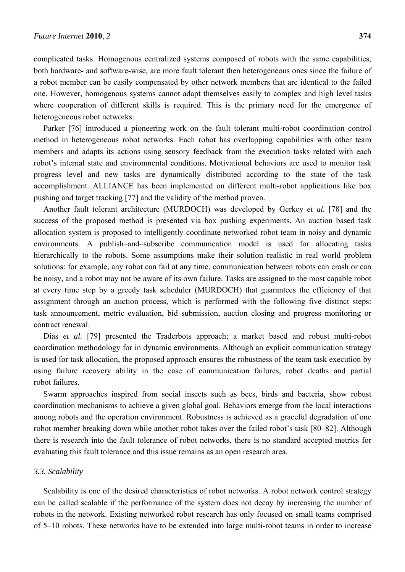complicated tasks. Homogenous centralized systems composed of robots with the same capabilities, both hardware- and software-wise, are more fault tolerant then heterogeneous ones since the failure of a robot member can be easily compensated by other network members that are identical to the failed one. However, homogenous systems cannot adapt themselves easily to complex and high level tasks where cooperation of different skills is required. This is the primary need for the emergence of heterogeneous robot networks.

Parker [76] introduced a pioneering work on the fault tolerant multi-robot coordination control method in heterogeneous robot networks. Each robot has overlapping capabilities with other team members and adapts its actions using sensory feedback from the execution tasks related with each robot's internal state and environmental conditions. Motivational behaviors are used to monitor task progress level and new tasks are dynamically distributed according to the state of the task accomplishment. ALLIANCE has been implemented on different multi-robot applications like box pushing and target tracking [77] and the validity of the method proven.

Another fault tolerant architecture (MURDOCH) was developed by Gerkey *et al.* [78] and the success of the proposed method is presented via box pushing experiments. An auction based task allocation system is proposed to intelligently coordinate networked robot team in noisy and dynamic environments. A publish–and–subscribe communication model is used for allocating tasks hierarchically to the robots. Some assumptions make their solution realistic in real world problem solutions: for example, any robot can fail at any time, communication between robots can crash or can be noisy, and a robot may not be aware of its own failure. Tasks are assigned to the most capable robot at every time step by a greedy task scheduler (MURDOCH) that guarantees the efficiency of that assignment through an auction process, which is performed with the following five distinct steps: task announcement, metric evaluation, bid submission, auction closing and progress monitoring or contract renewal.

Dias *et al.* [79] presented the Traderbots approach; a market based and robust multi-robot coordination methodology for in dynamic environments. Although an explicit communication strategy is used for task allocation, the proposed approach ensures the robustness of the team task execution by using failure recovery ability in the case of communication failures, robot deaths and partial robot failures.

Swarm approaches inspired from social insects such as bees, birds and bacteria, show robust coordination mechanisms to achieve a given global goal. Behaviors emerge from the local interactions among robots and the operation environment. Robustness is achieved as a graceful degradation of one robot member breaking down while another robot takes over the failed robot's task [80–82]. Although there is research into the fault tolerance of robot networks, there is no standard accepted metrics for evaluating this fault tolerance and this issue remains as an open research area.

#### *3.3. Scalability*

Scalability is one of the desired characteristics of robot networks. A robot network control strategy can be called scalable if the performance of the system does not decay by increasing the number of robots in the network. Existing networked robot research has only focused on small teams comprised of 5–10 robots. These networks have to be extended into large multi-robot teams in order to increase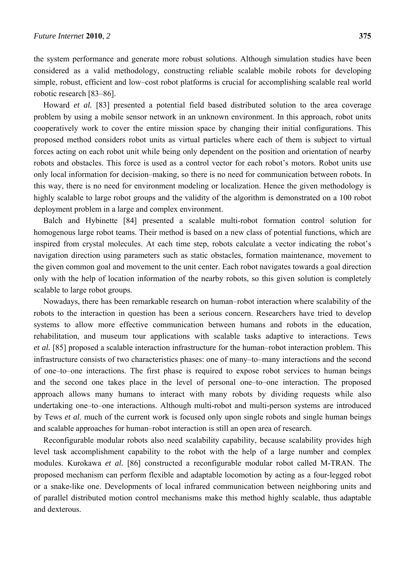the system performance and generate more robust solutions. Although simulation studies have been considered as a valid methodology, constructing reliable scalable mobile robots for developing simple, robust, efficient and low–cost robot platforms is crucial for accomplishing scalable real world robotic research [83–86].

Howard *et al.* [83] presented a potential field based distributed solution to the area coverage problem by using a mobile sensor network in an unknown environment. In this approach, robot units cooperatively work to cover the entire mission space by changing their initial configurations. This proposed method considers robot units as virtual particles where each of them is subject to virtual forces acting on each robot unit while being only dependent on the position and orientation of nearby robots and obstacles. This force is used as a control vector for each robot's motors. Robot units use only local information for decision–making, so there is no need for communication between robots. In this way, there is no need for environment modeling or localization. Hence the given methodology is highly scalable to large robot groups and the validity of the algorithm is demonstrated on a 100 robot deployment problem in a large and complex environment.

Balch and Hybinette [84] presented a scalable multi-robot formation control solution for homogenous large robot teams. Their method is based on a new class of potential functions, which are inspired from crystal molecules. At each time step, robots calculate a vector indicating the robot's navigation direction using parameters such as static obstacles, formation maintenance, movement to the given common goal and movement to the unit center. Each robot navigates towards a goal direction only with the help of location information of the nearby robots, so this given solution is completely scalable to large robot groups.

Nowadays, there has been remarkable research on human–robot interaction where scalability of the robots to the interaction in question has been a serious concern. Researchers have tried to develop systems to allow more effective communication between humans and robots in the education, rehabilitation, and museum tour applications with scalable tasks adaptive to interactions. Tews *et al.* [85] proposed a scalable interaction infrastructure for the human–robot interaction problem. This infrastructure consists of two characteristics phases: one of many–to–many interactions and the second of one–to–one interactions. The first phase is required to expose robot services to human beings and the second one takes place in the level of personal one–to–one interaction. The proposed approach allows many humans to interact with many robots by dividing requests while also undertaking one–to–one interactions. Although multi-robot and multi-person systems are introduced by Tews *et al.* much of the current work is focused only upon single robots and single human beings and scalable approaches for human–robot interaction is still an open area of research.

Reconfigurable modular robots also need scalability capability, because scalability provides high level task accomplishment capability to the robot with the help of a large number and complex modules. Kurokawa *et al.* [86] constructed a reconfigurable modular robot called M-TRAN. The proposed mechanism can perform flexible and adaptable locomotion by acting as a four-legged robot or a snake-like one. Developments of local infrared communication between neighboring units and of parallel distributed motion control mechanisms make this method highly scalable, thus adaptable and dexterous.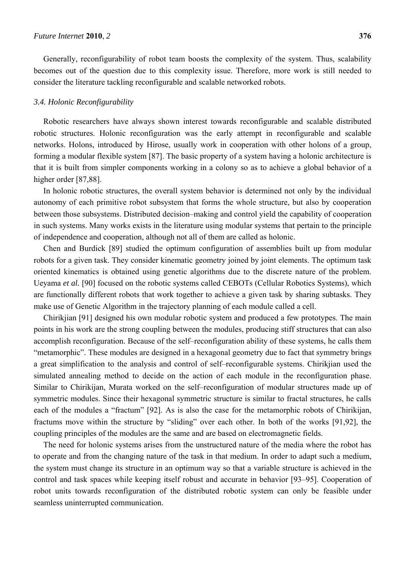Generally, reconfigurability of robot team boosts the complexity of the system. Thus, scalability becomes out of the question due to this complexity issue. Therefore, more work is still needed to consider the literature tackling reconfigurable and scalable networked robots.

#### *3.4. Holonic Reconfigurability*

Robotic researchers have always shown interest towards reconfigurable and scalable distributed robotic structures. Holonic reconfiguration was the early attempt in reconfigurable and scalable networks. Holons, introduced by Hirose, usually work in cooperation with other holons of a group, forming a modular flexible system [87]. The basic property of a system having a holonic architecture is that it is built from simpler components working in a colony so as to achieve a global behavior of a higher order [87,88].

In holonic robotic structures, the overall system behavior is determined not only by the individual autonomy of each primitive robot subsystem that forms the whole structure, but also by cooperation between those subsystems. Distributed decision–making and control yield the capability of cooperation in such systems. Many works exists in the literature using modular systems that pertain to the principle of independence and cooperation, although not all of them are called as holonic.

Chen and Burdick [89] studied the optimum configuration of assemblies built up from modular robots for a given task. They consider kinematic geometry joined by joint elements. The optimum task oriented kinematics is obtained using genetic algorithms due to the discrete nature of the problem. Ueyama *et al.* [90] focused on the robotic systems called CEBOTs (Cellular Robotics Systems), which are functionally different robots that work together to achieve a given task by sharing subtasks. They make use of Genetic Algorithm in the trajectory planning of each module called a cell.

Chirikjian [91] designed his own modular robotic system and produced a few prototypes. The main points in his work are the strong coupling between the modules, producing stiff structures that can also accomplish reconfiguration. Because of the self–reconfiguration ability of these systems, he calls them "metamorphic". These modules are designed in a hexagonal geometry due to fact that symmetry brings a great simplification to the analysis and control of self–reconfigurable systems. Chirikjian used the simulated annealing method to decide on the action of each module in the reconfiguration phase. Similar to Chirikijan, Murata worked on the self–reconfiguration of modular structures made up of symmetric modules. Since their hexagonal symmetric structure is similar to fractal structures, he calls each of the modules a "fractum" [92]. As is also the case for the metamorphic robots of Chirikijan, fractums move within the structure by "sliding" over each other. In both of the works [91,92], the coupling principles of the modules are the same and are based on electromagnetic fields.

The need for holonic systems arises from the unstructured nature of the media where the robot has to operate and from the changing nature of the task in that medium. In order to adapt such a medium, the system must change its structure in an optimum way so that a variable structure is achieved in the control and task spaces while keeping itself robust and accurate in behavior [93–95]. Cooperation of robot units towards reconfiguration of the distributed robotic system can only be feasible under seamless uninterrupted communication.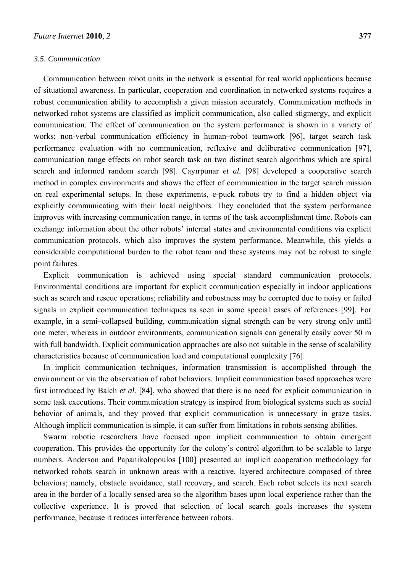#### *3.5. Communication*

Communication between robot units in the network is essential for real world applications because of situational awareness. In particular, cooperation and coordination in networked systems requires a robust communication ability to accomplish a given mission accurately. Communication methods in networked robot systems are classified as implicit communication, also called stigmergy, and explicit communication. The effect of communication on the system performance is shown in a variety of works; non-verbal communication efficiency in human–robot teamwork [96], target search task performance evaluation with no communication, reflexive and deliberative communication [97], communication range effects on robot search task on two distinct search algorithms which are spiral search and informed random search [98]. Çayırpunar *et al.* [98] developed a cooperative search method in complex environments and shows the effect of communication in the target search mission on real experimental setups. In these experiments, e-puck robots try to find a hidden object via explicitly communicating with their local neighbors. They concluded that the system performance improves with increasing communication range, in terms of the task accomplishment time. Robots can exchange information about the other robots' internal states and environmental conditions via explicit communication protocols, which also improves the system performance. Meanwhile, this yields a considerable computational burden to the robot team and these systems may not be robust to single point failures.

Explicit communication is achieved using special standard communication protocols. Environmental conditions are important for explicit communication especially in indoor applications such as search and rescue operations; reliability and robustness may be corrupted due to noisy or failed signals in explicit communication techniques as seen in some special cases of references [99]. For example, in a semi–collapsed building, communication signal strength can be very strong only until one meter, whereas in outdoor environments, communication signals can generally easily cover 50 m with full bandwidth. Explicit communication approaches are also not suitable in the sense of scalability characteristics because of communication load and computational complexity [76].

In implicit communication techniques, information transmission is accomplished through the environment or via the observation of robot behaviors. Implicit communication based approaches were first introduced by Balch *et al.* [84], who showed that there is no need for explicit communication in some task executions. Their communication strategy is inspired from biological systems such as social behavior of animals, and they proved that explicit communication is unnecessary in graze tasks. Although implicit communication is simple, it can suffer from limitations in robots sensing abilities.

Swarm robotic researchers have focused upon implicit communication to obtain emergent cooperation. This provides the opportunity for the colony's control algorithm to be scalable to large numbers. Anderson and Papanikolopoulos [100] presented an implicit cooperation methodology for networked robots search in unknown areas with a reactive, layered architecture composed of three behaviors; namely, obstacle avoidance, stall recovery, and search. Each robot selects its next search area in the border of a locally sensed area so the algorithm bases upon local experience rather than the collective experience. It is proved that selection of local search goals increases the system performance, because it reduces interference between robots.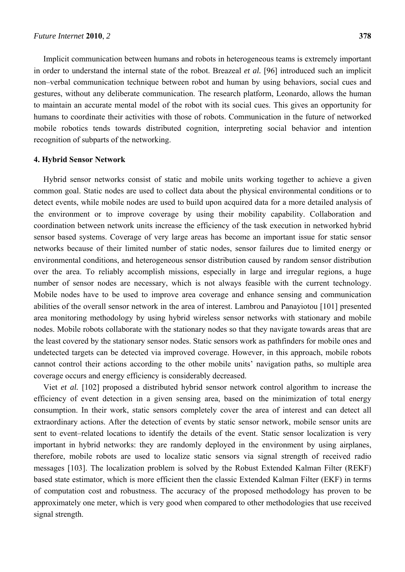Implicit communication between humans and robots in heterogeneous teams is extremely important in order to understand the internal state of the robot. Breazeal *et al.* [96] introduced such an implicit non–verbal communication technique between robot and human by using behaviors, social cues and gestures, without any deliberate communication. The research platform, Leonardo, allows the human to maintain an accurate mental model of the robot with its social cues. This gives an opportunity for humans to coordinate their activities with those of robots. Communication in the future of networked mobile robotics tends towards distributed cognition, interpreting social behavior and intention recognition of subparts of the networking.

#### **4. Hybrid Sensor Network**

Hybrid sensor networks consist of static and mobile units working together to achieve a given common goal. Static nodes are used to collect data about the physical environmental conditions or to detect events, while mobile nodes are used to build upon acquired data for a more detailed analysis of the environment or to improve coverage by using their mobility capability. Collaboration and coordination between network units increase the efficiency of the task execution in networked hybrid sensor based systems. Coverage of very large areas has become an important issue for static sensor networks because of their limited number of static nodes, sensor failures due to limited energy or environmental conditions, and heterogeneous sensor distribution caused by random sensor distribution over the area. To reliably accomplish missions, especially in large and irregular regions, a huge number of sensor nodes are necessary, which is not always feasible with the current technology. Mobile nodes have to be used to improve area coverage and enhance sensing and communication abilities of the overall sensor network in the area of interest. Lambrou and Panayiotou [101] presented area monitoring methodology by using hybrid wireless sensor networks with stationary and mobile nodes. Mobile robots collaborate with the stationary nodes so that they navigate towards areas that are the least covered by the stationary sensor nodes. Static sensors work as pathfinders for mobile ones and undetected targets can be detected via improved coverage. However, in this approach, mobile robots cannot control their actions according to the other mobile units' navigation paths, so multiple area coverage occurs and energy efficiency is considerably decreased.

Viet *et al.* [102] proposed a distributed hybrid sensor network control algorithm to increase the efficiency of event detection in a given sensing area, based on the minimization of total energy consumption. In their work, static sensors completely cover the area of interest and can detect all extraordinary actions. After the detection of events by static sensor network, mobile sensor units are sent to event–related locations to identify the details of the event. Static sensor localization is very important in hybrid networks: they are randomly deployed in the environment by using airplanes, therefore, mobile robots are used to localize static sensors via signal strength of received radio messages [103]. The localization problem is solved by the Robust Extended Kalman Filter (REKF) based state estimator, which is more efficient then the classic Extended Kalman Filter (EKF) in terms of computation cost and robustness. The accuracy of the proposed methodology has proven to be approximately one meter, which is very good when compared to other methodologies that use received signal strength.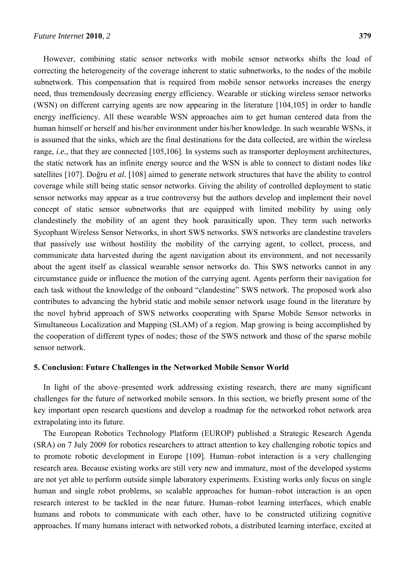However, combining static sensor networks with mobile sensor networks shifts the load of correcting the heterogeneity of the coverage inherent to static subnetworks, to the nodes of the mobile subnetwork. This compensation that is required from mobile sensor networks increases the energy need, thus tremendously decreasing energy efficiency. Wearable or sticking wireless sensor networks (WSN) on different carrying agents are now appearing in the literature [104,105] in order to handle energy inefficiency. All these wearable WSN approaches aim to get human centered data from the human himself or herself and his/her environment under his/her knowledge. In such wearable WSNs, it is assumed that the sinks, which are the final destinations for the data collected, are within the wireless range, *i.e.*, that they are connected [105,106]. In systems such as transporter deployment architectures, the static network has an infinite energy source and the WSN is able to connect to distant nodes like satellites [107]. Doğru *et al.* [108] aimed to generate network structures that have the ability to control coverage while still being static sensor networks. Giving the ability of controlled deployment to static sensor networks may appear as a true controversy but the authors develop and implement their novel concept of static sensor subnetworks that are equipped with limited mobility by using only clandestinely the mobility of an agent they hook parasitically upon. They term such networks Sycophant Wireless Sensor Networks, in short SWS networks. SWS networks are clandestine travelers that passively use without hostility the mobility of the carrying agent, to collect, process, and communicate data harvested during the agent navigation about its environment, and not necessarily about the agent itself as classical wearable sensor networks do. This SWS networks cannot in any circumstance guide or influence the motion of the carrying agent. Agents perform their navigation for each task without the knowledge of the onboard "clandestine" SWS network. The proposed work also contributes to advancing the hybrid static and mobile sensor network usage found in the literature by the novel hybrid approach of SWS networks cooperating with Sparse Mobile Sensor networks in Simultaneous Localization and Mapping (SLAM) of a region. Map growing is being accomplished by the cooperation of different types of nodes; those of the SWS network and those of the sparse mobile sensor network.

## **5. Conclusion: Future Challenges in the Networked Mobile Sensor World**

In light of the above–presented work addressing existing research, there are many significant challenges for the future of networked mobile sensors. In this section, we briefly present some of the key important open research questions and develop a roadmap for the networked robot network area extrapolating into its future.

The European Robotics Technology Platform (EUROP) published a Strategic Research Agenda (SRA) on 7 July 2009 for robotics researchers to attract attention to key challenging robotic topics and to promote robotic development in Europe [109]. Human–robot interaction is a very challenging research area. Because existing works are still very new and immature, most of the developed systems are not yet able to perform outside simple laboratory experiments. Existing works only focus on single human and single robot problems, so scalable approaches for human–robot interaction is an open research interest to be tackled in the near future. Human–robot learning interfaces, which enable humans and robots to communicate with each other, have to be constructed utilizing cognitive approaches. If many humans interact with networked robots, a distributed learning interface, excited at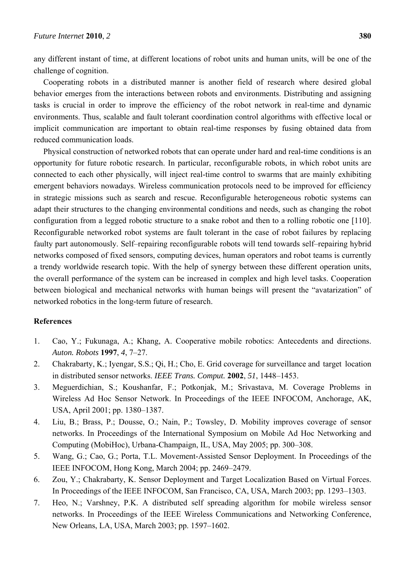any different instant of time, at different locations of robot units and human units, will be one of the challenge of cognition.

Cooperating robots in a distributed manner is another field of research where desired global behavior emerges from the interactions between robots and environments. Distributing and assigning tasks is crucial in order to improve the efficiency of the robot network in real-time and dynamic environments. Thus, scalable and fault tolerant coordination control algorithms with effective local or implicit communication are important to obtain real-time responses by fusing obtained data from reduced communication loads.

Physical construction of networked robots that can operate under hard and real-time conditions is an opportunity for future robotic research. In particular, reconfigurable robots, in which robot units are connected to each other physically, will inject real-time control to swarms that are mainly exhibiting emergent behaviors nowadays. Wireless communication protocols need to be improved for efficiency in strategic missions such as search and rescue. Reconfigurable heterogeneous robotic systems can adapt their structures to the changing environmental conditions and needs, such as changing the robot configuration from a legged robotic structure to a snake robot and then to a rolling robotic one [110]. Reconfigurable networked robot systems are fault tolerant in the case of robot failures by replacing faulty part autonomously. Self–repairing reconfigurable robots will tend towards self–repairing hybrid networks composed of fixed sensors, computing devices, human operators and robot teams is currently a trendy worldwide research topic. With the help of synergy between these different operation units, the overall performance of the system can be increased in complex and high level tasks. Cooperation between biological and mechanical networks with human beings will present the "avatarization" of networked robotics in the long-term future of research.

## **References**

- 1. Cao, Y.; Fukunaga, A.; Khang, A. Cooperative mobile robotics: Antecedents and directions. *Auton. Robots* **1997**, *4*, 7–27.
- 2. Chakrabarty, K.; Iyengar, S.S.; Qi, H.; Cho, E. Grid coverage for surveillance and target location in distributed sensor networks. *IEEE Trans. Comput.* **2002**, *51*, 1448–1453.
- 3. Meguerdichian, S.; Koushanfar, F.; Potkonjak, M.; Srivastava, M. Coverage Problems in Wireless Ad Hoc Sensor Network. In Proceedings of the IEEE INFOCOM, Anchorage, AK, USA, April 2001; pp. 1380–1387.
- 4. Liu, B.; Brass, P.; Dousse, O.; Nain, P.; Towsley, D. Mobility improves coverage of sensor networks. In Proceedings of the International Symposium on Mobile Ad Hoc Networking and Computing (MobiHoc), Urbana-Champaign, IL, USA, May 2005; pp. 300–308.
- 5. Wang, G.; Cao, G.; Porta, T.L. Movement-Assisted Sensor Deployment. In Proceedings of the IEEE INFOCOM, Hong Kong, March 2004; pp. 2469–2479.
- 6. Zou, Y.; Chakrabarty, K. Sensor Deployment and Target Localization Based on Virtual Forces. In Proceedings of the IEEE INFOCOM, San Francisco, CA, USA, March 2003; pp. 1293–1303.
- 7. Heo, N.; Varshney, P.K. A distributed self spreading algorithm for mobile wireless sensor networks. In Proceedings of the IEEE Wireless Communications and Networking Conference, New Orleans, LA, USA, March 2003; pp. 1597–1602.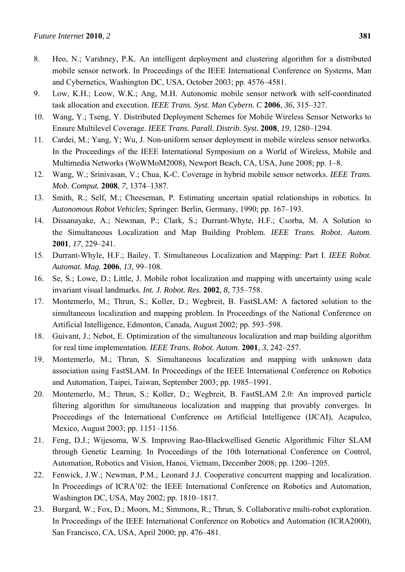- 8. Heo, N.; Varshney, P.K. An intelligent deployment and clustering algorithm for a distributed mobile sensor network. In Proceedings of the IEEE International Conference on Systems, Man and Cybernetics, Washington DC, USA, October 2003; pp. 4576–4581.
- 9. Low, K.H.; Leow, W.K.; Ang, M.H. Autonomic mobile sensor network with self-coordinated task allocation and execution. *IEEE Trans. Syst. Man Cybern. C* **2006**, *36*, 315–327.
- 10. Wang, Y.; Tseng, Y. Distributed Deployment Schemes for Mobile Wireless Sensor Networks to Ensure Multilevel Coverage. *IEEE Trans. Parall. Distrib. Syst.* **2008**, *19*, 1280–1294.
- 11. Cardei, M.; Yang, Y; Wu, J. Non-uniform sensor deployment in mobile wireless sensor networks. In the Proceedings of the IEEE International Symposium on a World of Wireless, Mobile and Multimedia Networks (WoWMoM2008), Newport Beach, CA, USA, June 2008; pp. 1–8.
- 12. Wang, W.; Srinivasan, V.; Chua, K-C. Coverage in hybrid mobile sensor networks. *IEEE Trans. Mob. Comput.* **2008**, *7*, 1374–1387.
- 13. Smith, R.; Self, M.; Cheeseman, P. Estimating uncertain spatial relationships in robotics. In *Autonomous Robot Vehicles*; Springer: Berlin, Germany, 1990; pp. 167–193.
- 14. Dissanayake, A.; Newman, P.; Clark, S.; Durrant-Whyte, H.F.; Csorba, M. A Solution to the Simultaneous Localization and Map Building Problem. *IEEE Trans. Robot. Autom.* **2001**, *17*, 229–241.
- 15. Durrant-Whyle, H.F.; Bailey, T. Simultaneous Localization and Mapping: Part I. *IEEE Robot. Automat. Mag.* **2006**, *13*, 99–108.
- 16. Se, S.; Lowe, D.; Little, J. Mobile robot localization and mapping with uncertainty using scale invariant visual landmarks. *Int. J. Robot. Res.* **2002**, *8*, 735–758.
- 17. Montemerlo, M.; Thrun, S.; Koller, D.; Wegbreit, B. FastSLAM: A factored solution to the simultaneous localization and mapping problem. In Proceedings of the National Conference on Artificial Intelligence, Edmonton, Canada, August 2002; pp. 593–598.
- 18. Guivant, J.; Nebot, E. Optimization of the simultaneous localization and map building algorithm for real time implementation. *IEEE Trans. Robot. Autom.* **2001**, *3*, 242–257.
- 19. Montemerlo, M.; Thrun, S. Simultaneous localization and mapping with unknown data association using FastSLAM. In Proceedings of the IEEE International Conference on Robotics and Automation, Taipei, Taiwan, September 2003; pp. 1985–1991.
- 20. Montemerlo, M.; Thrun, S.; Koller, D.; Wegbreit, B. FastSLAM 2.0: An improved particle filtering algorithm for simultaneous localization and mapping that provably converges. In Proceedings of the International Conference on Artificial Intelligence (IJCAI), Acapulco, Mexico, August 2003; pp. 1151–1156.
- 21. Feng, D.J.; Wijesoma, W.S. Improving Rao-Blackwellised Genetic Algorithmic Filter SLAM through Genetic Learning. In Proceedings of the 10th International Conference on Control, Automation, Robotics and Vision, Hanoi, Vietnam, December 2008; pp. 1200–1205.
- 22. Fenwick, J.W.; Newman, P.M.; Leonard J.J. Cooperative concurrent mapping and localization. In Proceedings of ICRA'02: the IEEE International Conference on Robotics and Automation, Washington DC, USA, May 2002; pp. 1810–1817.
- 23. Burgard, W.; Fox, D.; Moors, M.; Simmons, R.; Thrun, S. Collaborative multi-robot exploration. In Proceedings of the IEEE International Conference on Robotics and Automation (ICRA2000), San Francisco, CA, USA, April 2000; pp. 476–481.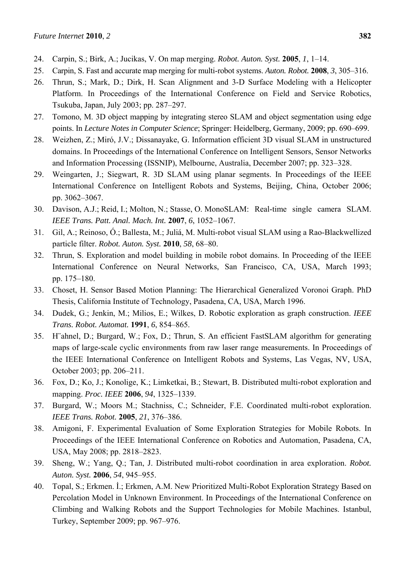- 24. Carpin, S.; Birk, A.; Jucikas, V. On map merging. *Robot. Auton. Syst.* **2005**, *1*, 1–14.
- 25. Carpin, S. Fast and accurate map merging for multi-robot systems. *Auton. Robot.* **2008**, *3*, 305–316.
- 26. Thrun, S.; Mark, D.; Dirk, H. Scan Alignment and 3-D Surface Modeling with a Helicopter Platform. In Proceedings of the International Conference on Field and Service Robotics, Tsukuba, Japan, July 2003; pp. 287–297.
- 27. Tomono, M. 3D object mapping by integrating stereo SLAM and object segmentation using edge points. In *Lecture Notes in Computer Science*; Springer: Heidelberg, Germany, 2009; pp. 690–699.
- 28. Weizhen, Z.; Miró, J.V.; Dissanayake, G. Information efficient 3D visual SLAM in unstructured domains. In Proceedings of the International Conference on Intelligent Sensors, Sensor Networks and Information Processing (ISSNIP), Melbourne, Australia, December 2007; pp. 323–328.
- 29. Weingarten, J.; Siegwart, R. 3D SLAM using planar segments. In Proceedings of the IEEE International Conference on Intelligent Robots and Systems, Beijing, China, October 2006; pp. 3062–3067.
- 30. Davison, A.J.; Reid, I.; Molton, N.; Stasse, O. MonoSLAM: Real-time single camera SLAM. *IEEE Trans. Patt. Anal. Mach. Int.* **2007**, *6*, 1052–1067.
- 31. Gil, A.; Reinoso, Ó.; Ballesta, M.; Juliá, M. Multi-robot visual SLAM using a Rao-Blackwellized particle filter. *Robot. Auton. Syst.* **2010**, *58*, 68–80.
- 32. Thrun, S. Exploration and model building in mobile robot domains. In Proceeding of the IEEE International Conference on Neural Networks, San Francisco, CA, USA, March 1993; pp. 175–180.
- 33. Choset, H. Sensor Based Motion Planning: The Hierarchical Generalized Voronoi Graph. PhD Thesis, California Institute of Technology, Pasadena, CA, USA, March 1996.
- 34. Dudek, G.; Jenkin, M.; Milios, E.; Wilkes, D. Robotic exploration as graph construction. *IEEE Trans. Robot. Automat.* **1991**, *6*, 854–865.
- 35. H¨ahnel, D.; Burgard, W.; Fox, D.; Thrun, S. An efficient FastSLAM algorithm for generating maps of large-scale cyclic environments from raw laser range measurements. In Proceedings of the IEEE International Conference on Intelligent Robots and Systems, Las Vegas, NV, USA, October 2003; pp. 206–211.
- 36. Fox, D.; Ko, J.; Konolige, K.; Limketkai, B.; Stewart, B. Distributed multi-robot exploration and mapping. *Proc. IEEE* **2006**, *94*, 1325–1339.
- 37. Burgard, W.; Moors M.; Stachniss, C.; Schneider, F.E. Coordinated multi-robot exploration. *IEEE Trans. Robot.* **2005**, *21*, 376–386.
- 38. Amigoni, F. Experimental Evaluation of Some Exploration Strategies for Mobile Robots. In Proceedings of the IEEE International Conference on Robotics and Automation, Pasadena, CA, USA, May 2008; pp. 2818–2823.
- 39. Sheng, W.; Yang, Q.; Tan, J. Distributed multi-robot coordination in area exploration. *Robot. Auton. Syst.* **2006**, *54*, 945–955.
- 40. Topal, S.; Erkmen. İ.; Erkmen, A.M. New Prioritized Multi-Robot Exploration Strategy Based on Percolation Model in Unknown Environment. In Proceedings of the International Conference on Climbing and Walking Robots and the Support Technologies for Mobile Machines. Istanbul, Turkey, September 2009; pp. 967–976.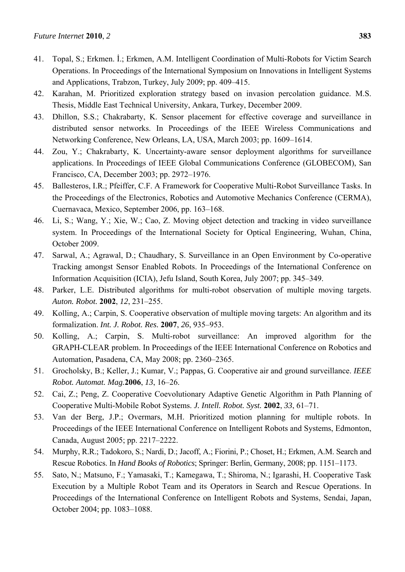- 41. Topal, S.; Erkmen. İ.; Erkmen, A.M. Intelligent Coordination of Multi-Robots for Victim Search Operations. In Proceedings of the International Symposium on Innovations in Intelligent Systems and Applications, Trabzon, Turkey, July 2009; pp. 409–415.
- 42. Karahan, M. Prioritized exploration strategy based on invasion percolation guidance. M.S. Thesis, Middle East Technical University, Ankara, Turkey, December 2009.
- 43. Dhillon, S.S.; Chakrabarty, K. Sensor placement for effective coverage and surveillance in distributed sensor networks. In Proceedings of the IEEE Wireless Communications and Networking Conference, New Orleans, LA, USA, March 2003; pp. 1609–1614.
- 44. Zou, Y.; Chakrabarty, K. Uncertainty-aware sensor deployment algorithms for surveillance applications. In Proceedings of IEEE Global Communications Conference (GLOBECOM), San Francisco, CA, December 2003; pp. 2972–1976.
- 45. Ballesteros, I.R.; Pfeiffer, C.F. A Framework for Cooperative Multi-Robot Surveillance Tasks. In the Proceedings of the Electronics, Robotics and Automotive Mechanics Conference (CERMA), Cuernavaca, Mexico, September 2006, pp. 163–168.
- 46. Li, S.; Wang, Y.; Xie, W.; Cao, Z. Moving object detection and tracking in video surveillance system. In Proceedings of the International Society for Optical Engineering, Wuhan, China, October 2009.
- 47. Sarwal, A.; Agrawal, D.; Chaudhary, S. Surveillance in an Open Environment by Co-operative Tracking amongst Sensor Enabled Robots. In Proceedings of the International Conference on Information Acquisition (ICIA), Jefu Island, South Korea, July 2007; pp. 345–349.
- 48. Parker, L.E. Distributed algorithms for multi-robot observation of multiple moving targets. *Auton. Robot.* **2002**, *12*, 231–255.
- 49. Kolling, A.; Carpin, S. Cooperative observation of multiple moving targets: An algorithm and its formalization. *Int. J. Robot. Res.* **2007**, *26*, 935–953.
- 50. Kolling, A.; Carpin, S. Multi-robot surveillance: An improved algorithm for the GRAPH-CLEAR problem. In Proceedings of the IEEE International Conference on Robotics and Automation, Pasadena, CA, May 2008; pp. 2360–2365.
- 51. Grocholsky, B.; Keller, J.; Kumar, V.; Pappas, G. Cooperative air and ground surveillance. *IEEE Robot. Automat. Mag.***2006**, *13*, 16–26.
- 52. Cai, Z.; Peng, Z. Cooperative Coevolutionary Adaptive Genetic Algorithm in Path Planning of Cooperative Multi-Mobile Robot Systems. *J. Intell. Robot. Syst.* **2002**, *33*, 61–71.
- 53. Van der Berg, J.P.; Overmars, M.H. Prioritized motion planning for multiple robots. In Proceedings of the IEEE International Conference on Intelligent Robots and Systems, Edmonton, Canada, August 2005; pp. 2217–2222.
- 54. Murphy, R.R.; Tadokoro, S.; Nardi, D.; Jacoff, A.; Fiorini, P.; Choset, H.; Erkmen, A.M. Search and Rescue Robotics. In *Hand Books of Robotics*; Springer: Berlin, Germany, 2008; pp. 1151–1173.
- 55. Sato, N.; Matsuno, F.; Yamasaki, T.; Kamegawa, T.; Shiroma, N.; Igarashi, H. Cooperative Task Execution by a Multiple Robot Team and its Operators in Search and Rescue Operations. In Proceedings of the International Conference on Intelligent Robots and Systems, Sendai, Japan, October 2004; pp. 1083–1088.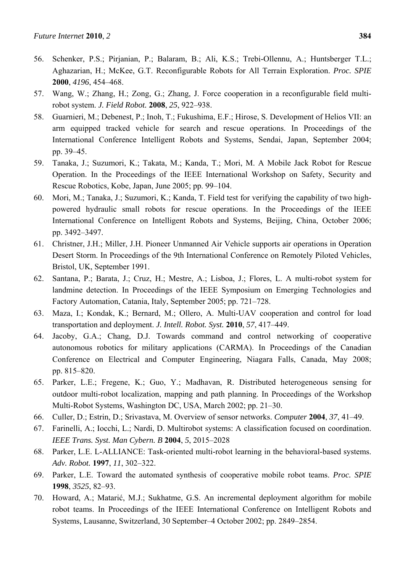- 56. Schenker, P.S.; Pirjanian, P.; Balaram, B.; Ali, K.S.; Trebi-Ollennu, A.; Huntsberger T.L.; Aghazarian, H.; McKee, G.T. Reconfigurable Robots for All Terrain Exploration. *Proc. SPIE* **2000**, *4196*, 454–468.
- 57. Wang, W.; Zhang, H.; Zong, G.; Zhang, J. Force cooperation in a reconfigurable field multirobot system. *J. Field Robot.* **2008**, *25*, 922–938.
- 58. Guarnieri, M.; Debenest, P.; Inoh, T.; Fukushima, E.F.; Hirose, S. Development of Helios VII: an arm equipped tracked vehicle for search and rescue operations. In Proceedings of the International Conference Intelligent Robots and Systems, Sendai, Japan, September 2004; pp. 39–45.
- 59. Tanaka, J.; Suzumori, K.; Takata, M.; Kanda, T.; Mori, M. A Mobile Jack Robot for Rescue Operation. In the Proceedings of the IEEE International Workshop on Safety, Security and Rescue Robotics, Kobe, Japan, June 2005; pp. 99–104.
- 60. Mori, M.; Tanaka, J.; Suzumori, K.; Kanda, T. Field test for verifying the capability of two highpowered hydraulic small robots for rescue operations. In the Proceedings of the IEEE International Conference on Intelligent Robots and Systems, Beijing, China, October 2006; pp. 3492–3497.
- 61. Christner, J.H.; Miller, J.H. Pioneer Unmanned Air Vehicle supports air operations in Operation Desert Storm. In Proceedings of the 9th International Conference on Remotely Piloted Vehicles, Bristol, UK, September 1991.
- 62. Santana, P.; Barata, J.; Cruz, H.; Mestre, A.; Lisboa, J.; Flores, L. A multi-robot system for landmine detection. In Proceedings of the IEEE Symposium on Emerging Technologies and Factory Automation, Catania, Italy, September 2005; pp. 721–728.
- 63. Maza, I.; Kondak, K.; Bernard, M.; Ollero, A. Multi-UAV cooperation and control for load transportation and deployment. *J. Intell. Robot. Syst.* **2010**, *57*, 417–449.
- 64. Jacoby, G.A.; Chang, D.J. Towards command and control networking of cooperative autonomous robotics for military applications (CARMA). In Proceedings of the Canadian Conference on Electrical and Computer Engineering, Niagara Falls, Canada, May 2008; pp. 815–820.
- 65. Parker, L.E.; Fregene, K.; Guo, Y.; Madhavan, R. Distributed heterogeneous sensing for outdoor multi-robot localization, mapping and path planning. In Proceedings of the Workshop Multi-Robot Systems, Washington DC, USA, March 2002; pp. 21–30.
- 66. Culler, D.; Estrin, D.; Srivastava, M. Overview of sensor networks. *Computer* **2004**, *37*, 41–49.
- 67. Farinelli, A.; Iocchi, L.; Nardi, D. Multirobot systems: A classification focused on coordination. *IEEE Trans. Syst. Man Cybern. B* **2004**, *5*, 2015–2028
- 68. Parker, L.E. L-ALLIANCE: Task-oriented multi-robot learning in the behavioral-based systems. *Adv. Robot.* **1997**, *11*, 302–322.
- 69. Parker, L.E. Toward the automated synthesis of cooperative mobile robot teams. *Proc. SPIE* **1998**, *3525*, 82–93.
- 70. Howard, A.; Matarić, M.J.; Sukhatme, G.S. An incremental deployment algorithm for mobile robot teams. In Proceedings of the IEEE International Conference on Intelligent Robots and Systems, Lausanne, Switzerland, 30 September–4 October 2002; pp. 2849–2854.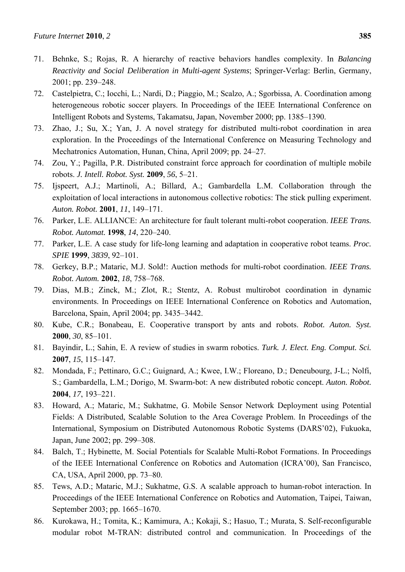- 71. Behnke, S.; Rojas, R. A hierarchy of reactive behaviors handles complexity. In *Balancing Reactivity and Social Deliberation in Multi-agent Systems*; Springer-Verlag: Berlin, Germany, 2001; pp. 239–248.
- 72. Castelpietra, C.; Iocchi, L.; Nardi, D.; Piaggio, M.; Scalzo, A.; Sgorbissa, A. Coordination among heterogeneous robotic soccer players. In Proceedings of the IEEE International Conference on Intelligent Robots and Systems, Takamatsu, Japan, November 2000; pp. 1385–1390.
- 73. Zhao, J.; Su, X.; Yan, J. A novel strategy for distributed multi-robot coordination in area exploration. In the Proceedings of the International Conference on Measuring Technology and Mechatronics Automation, Hunan, China, April 2009; pp. 24–27.
- 74. Zou, Y.; Pagilla, P.R. Distributed constraint force approach for coordination of multiple mobile robots. *J. Intell. Robot. Syst.* **2009**, *56*, 5–21.
- 75. Ijspeert, A.J.; Martinoli, A.; Billard, A.; Gambardella L.M. Collaboration through the exploitation of local interactions in autonomous collective robotics: The stick pulling experiment. *Auton. Robot.* **2001**, *11*, 149–171.
- 76. Parker, L.E. ALLIANCE: An architecture for fault tolerant multi-robot cooperation. *IEEE Trans. Robot. Automat.* **1998**, *14*, 220–240.
- 77. Parker, L.E. A case study for life-long learning and adaptation in cooperative robot teams. *Proc. SPIE* **1999**, *3839*, 92–101.
- 78. Gerkey, B.P.; Mataric, M.J. Sold!: Auction methods for multi-robot coordination. *IEEE Trans. Robot. Autom.* **2002**, *18*, 758–768.
- 79. Dias, M.B.; Zinck, M.; Zlot, R.; Stentz, A. Robust multirobot coordination in dynamic environments. In Proceedings on IEEE International Conference on Robotics and Automation, Barcelona, Spain, April 2004; pp. 3435–3442.
- 80. Kube, C.R.; Bonabeau, E. Cooperative transport by ants and robots. *Robot. Auton. Syst.* **2000**, *30*, 85–101.
- 81. Bayindir, L.; Sahin, E. A review of studies in swarm robotics. *Turk. J. Elect. Eng. Comput. Sci.* **2007**, *15*, 115–147.
- 82. Mondada, F.; Pettinaro, G.C.; Guignard, A.; Kwee, I.W.; Floreano, D.; Deneubourg, J-L.; Nolfi, S.; Gambardella, L.M.; Dorigo, M. Swarm-bot: A new distributed robotic concept. *Auton. Robot.* **2004**, *17*, 193–221.
- 83. Howard, A.; Mataric, M.; Sukhatme, G. Mobile Sensor Network Deployment using Potential Fields: A Distributed, Scalable Solution to the Area Coverage Problem. In Proceedings of the International, Symposium on Distributed Autonomous Robotic Systems (DARS'02), Fukuoka, Japan, June 2002; pp. 299–308.
- 84. Balch, T.; Hybinette, M. Social Potentials for Scalable Multi-Robot Formations. In Proceedings of the IEEE International Conference on Robotics and Automation (ICRA'00), San Francisco, CA, USA, April 2000, pp. 73–80.
- 85. Tews, A.D.; Mataric, M.J.; Sukhatme, G.S. A scalable approach to human-robot interaction. In Proceedings of the IEEE International Conference on Robotics and Automation, Taipei, Taiwan, September 2003; pp. 1665–1670.
- 86. Kurokawa, H.; Tomita, K.; Kamimura, A.; Kokaji, S.; Hasuo, T.; Murata, S. Self-reconfigurable modular robot M-TRAN: distributed control and communication. In Proceedings of the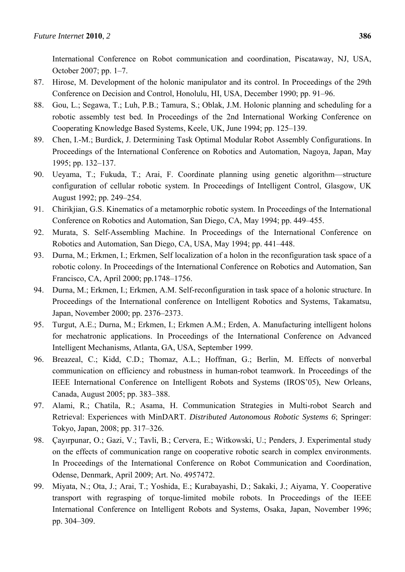International Conference on Robot communication and coordination, Piscataway, NJ, USA, October 2007; pp. 1–7.

- 87. Hirose, M. Development of the holonic manipulator and its control. In Proceedings of the 29th Conference on Decision and Control, Honolulu, HI, USA, December 1990; pp. 91–96.
- 88. Gou, L.; Segawa, T.; Luh, P.B.; Tamura, S.; Oblak, J.M. Holonic planning and scheduling for a robotic assembly test bed. In Proceedings of the 2nd International Working Conference on Cooperating Knowledge Based Systems, Keele, UK, June 1994; pp. 125–139.
- 89. Chen, I.-M.; Burdick, J. Determining Task Optimal Modular Robot Assembly Configurations. In Proceedings of the International Conference on Robotics and Automation, Nagoya, Japan, May 1995; pp. 132–137.
- 90. Ueyama, T.; Fukuda, T.; Arai, F. Coordinate planning using genetic algorithm—structure configuration of cellular robotic system. In Proceedings of Intelligent Control, Glasgow, UK August 1992; pp. 249–254.
- 91. Chirikjian, G.S. Kinematics of a metamorphic robotic system. In Proceedings of the International Conference on Robotics and Automation, San Diego, CA, May 1994; pp. 449–455.
- 92. Murata, S. Self-Assembling Machine. In Proceedings of the International Conference on Robotics and Automation, San Diego, CA, USA, May 1994; pp. 441–448.
- 93. Durna, M.; Erkmen, I.; Erkmen, Self localization of a holon in the reconfiguration task space of a robotic colony. In Proceedings of the International Conference on Robotics and Automation, San Francisco, CA, April 2000; pp.1748–1756.
- 94. Durna, M.; Erkmen, I.; Erkmen, A.M. Self-reconfiguration in task space of a holonic structure. In Proceedings of the International conference on Intelligent Robotics and Systems, Takamatsu, Japan, November 2000; pp. 2376–2373.
- 95. Turgut, A.E.; Durna, M.; Erkmen, I.; Erkmen A.M.; Erden, A. Manufacturing intelligent holons for mechatronic applications. In Proceedings of the International Conference on Advanced Intelligent Mechanisms, Atlanta, GA, USA, September 1999.
- 96. Breazeal, C.; Kidd, C.D.; Thomaz, A.L.; Hoffman, G.; Berlin, M. Effects of nonverbal communication on efficiency and robustness in human-robot teamwork. In Proceedings of the IEEE International Conference on Intelligent Robots and Systems (IROS'05), New Orleans, Canada, August 2005; pp. 383–388.
- 97. Alami, R.; Chatila, R.; Asama, H. Communication Strategies in Multi-robot Search and Retrieval: Experiences with MinDART. *Distributed Autonomous Robotic Systems 6*; Springer: Tokyo, Japan, 2008; pp. 317–326.
- 98. Çayırpunar, O.; Gazi, V.; Tavli, B.; Cervera, E.; Witkowski, U.; Penders, J. Experimental study on the effects of communication range on cooperative robotic search in complex environments. In Proceedings of the International Conference on Robot Communication and Coordination, Odense, Denmark, April 2009; Art. No. 4957472.
- 99. Miyata, N.; Ota, J.; Arai, T.; Yoshida, E.; Kurabayashi, D.; Sakaki, J.; Aiyama, Y. Cooperative transport with regrasping of torque-limited mobile robots. In Proceedings of the IEEE International Conference on Intelligent Robots and Systems, Osaka, Japan, November 1996; pp. 304–309.